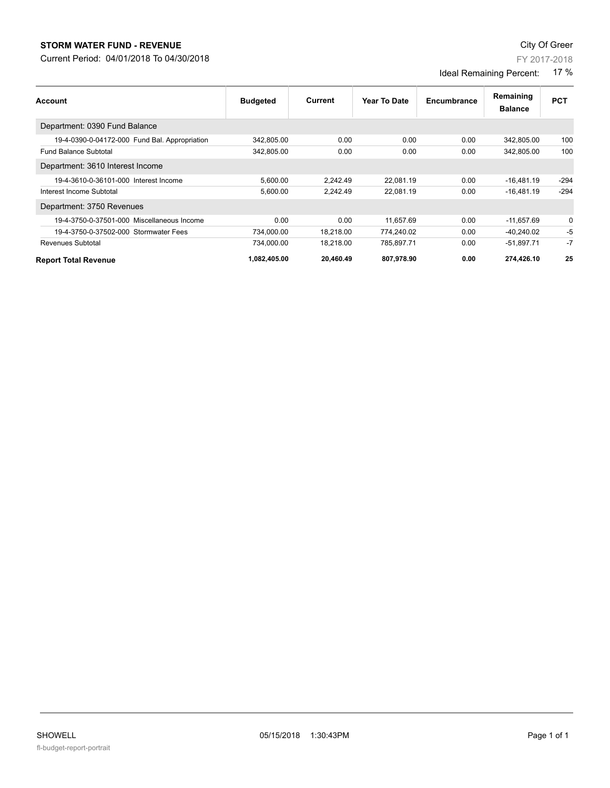# **STORM WATER FUND - REVENUE City Of Green**

Current Period: 04/01/2018 To 04/30/2018

FY 2017-2018

### Ideal Remaining Percent: 17 %

| <b>Account</b>                                | <b>Budgeted</b> | Current   | Year To Date | Encumbrance | Remaining<br><b>Balance</b> | <b>PCT</b> |
|-----------------------------------------------|-----------------|-----------|--------------|-------------|-----------------------------|------------|
| Department: 0390 Fund Balance                 |                 |           |              |             |                             |            |
| 19-4-0390-0-04172-000 Fund Bal. Appropriation | 342,805.00      | 0.00      | 0.00         | 0.00        | 342,805.00                  | 100        |
| <b>Fund Balance Subtotal</b>                  | 342.805.00      | 0.00      | 0.00         | 0.00        | 342.805.00                  | 100        |
| Department: 3610 Interest Income              |                 |           |              |             |                             |            |
| 19-4-3610-0-36101-000 Interest Income         | 5,600.00        | 2,242.49  | 22,081.19    | 0.00        | $-16,481.19$                | $-294$     |
| Interest Income Subtotal                      | 5.600.00        | 2.242.49  | 22.081.19    | 0.00        | $-16.481.19$                | $-294$     |
| Department: 3750 Revenues                     |                 |           |              |             |                             |            |
| 19-4-3750-0-37501-000 Miscellaneous Income    | 0.00            | 0.00      | 11.657.69    | 0.00        | $-11.657.69$                | 0          |
| 19-4-3750-0-37502-000 Stormwater Fees         | 734,000.00      | 18,218.00 | 774,240.02   | 0.00        | $-40,240.02$                | $-5$       |
| Revenues Subtotal                             | 734.000.00      | 18.218.00 | 785.897.71   | 0.00        | $-51.897.71$                | $-7$       |
| <b>Report Total Revenue</b>                   | 1,082,405.00    | 20,460.49 | 807,978.90   | 0.00        | 274,426.10                  | 25         |